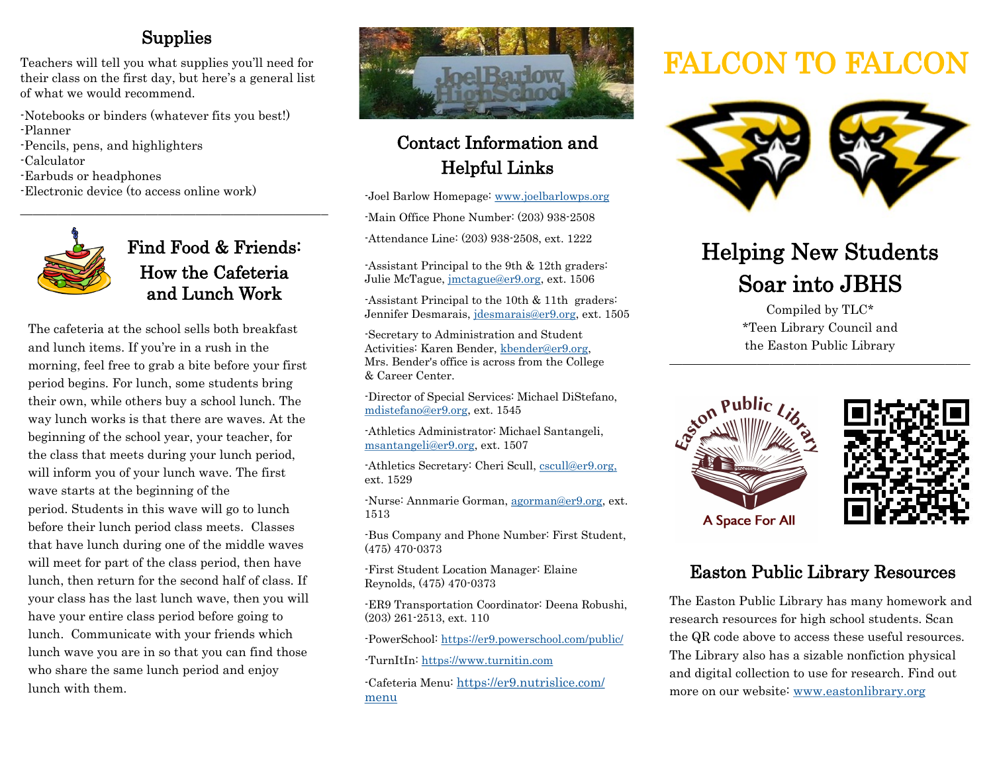### Supplies

Teachers will tell you what supplies you'll need for their class on the first day, but here's a general list of what we would recommend.

————————————————————————–

- -Notebooks or binders (whatever fits you best!) -Planner
- -Pencils, pens, and highlighters
- -Calculator
- -Earbuds or headphones
- -Electronic device (to access online work)



### Find Food & Friends: How the Cafeteria and Lunch Work

The cafeteria at the school sells both breakfast and lunch items. If you're in a rush in the morning, feel free to grab a bite before your first period begins. For lunch, some students bring their own, while others buy a school lunch. The way lunch works is that there are waves. At the beginning of the school year, your teacher, for the class that meets during your lunch period, will inform you of your lunch wave. The first wave starts at the beginning of the period. Students in this wave will go to lunch before their lunch period class meets. Classes that have lunch during one of the middle waves will meet for part of the class period, then have lunch, then return for the second half of class. If your class has the last lunch wave, then you will have your entire class period before going to lunch. Communicate with your friends which lunch wave you are in so that you can find those who share the same lunch period and enjoy lunch with them.



# Contact Information and Helpful Links

-Joel Barlow Homepage: [www.joelbarlowps.org](https://www.joelbarlowps.org/)

-Main Office Phone Number: (203) 938-2508

-Attendance Line: (203) 938-2508, ext. 1222

-Assistant Principal to the 9th & 12th graders: Julie McTague, [jmctague@er9.org,](https://www.joelbarlowps.org/cms/One.aspx?portalId=238720&pageId=734856) ext. 1506

-Assistant Principal to the 10th & 11th graders: Jennifer Desmarais, [jdesmarais@er9.org,](https://www.joelbarlowps.org/cms/One.aspx?portalId=238720&pageId=734856#!) ext. 1505

-Secretary to Administration and Student Activities: Karen Bender, [kbender@er9.org,](https://www.joelbarlowps.org/cms/One.aspx?portalId=238720&pageId=734856)  Mrs. Bender's office is across from the College & Career Center.

-Director of Special Services: Michael DiStefano, [mdistefano@er9.org,](https://www.joelbarlowps.org/cms/One.aspx?portalId=238720&pageId=734856#!) ext. 1545

-Athletics Administrator: Michael Santangeli, [msantangeli@er9.org,](https://www.joelbarlowps.org/cms/One.aspx?portalId=238720&pageId=734856) ext. 1507

-Athletics Secretary: Cheri Scull, [cscull@er9.org,](https://www.joelbarlowps.org/cms/One.aspx?portalId=238720&pageId=734856) ext. 1529

-Nurse: Annmarie Gorman, [agorman@er9.org,](https://www.joelbarlowps.org/cms/One.aspx?portalId=238720&pageId=734856) ext. 1513

-Bus Company and Phone Number: First Student, (475) 470-0373

-First Student Location Manager: Elaine Reynolds, (475) 470-0373

-ER9 Transportation Coordinator: Deena Robushi, (203) 261-2513, ext. 110

-PowerSchool: <https://er9.powerschool.com/public/>

-TurnItIn:<https://www.turnitin.com>

-Cafeteria Menu: [https://er9.nutrislice.com/](https://er9.nutrislice.com/menu) [menu](https://er9.nutrislice.com/menu)

# FALCON TO FALCON



# Helping New Students Soar into JBHS

Compiled by TLC\* \*Teen Library Council and the Easton Public Library ————————————————————————



#### Easton Public Library Resources

The Easton Public Library has many homework and research resources for high school students. Scan the QR code above to access these useful resources. The Library also has a sizable nonfiction physical and digital collection to use for research. Find out more on our website: [www.eastonlibrary.org](http://www.eastonlibrary.org)